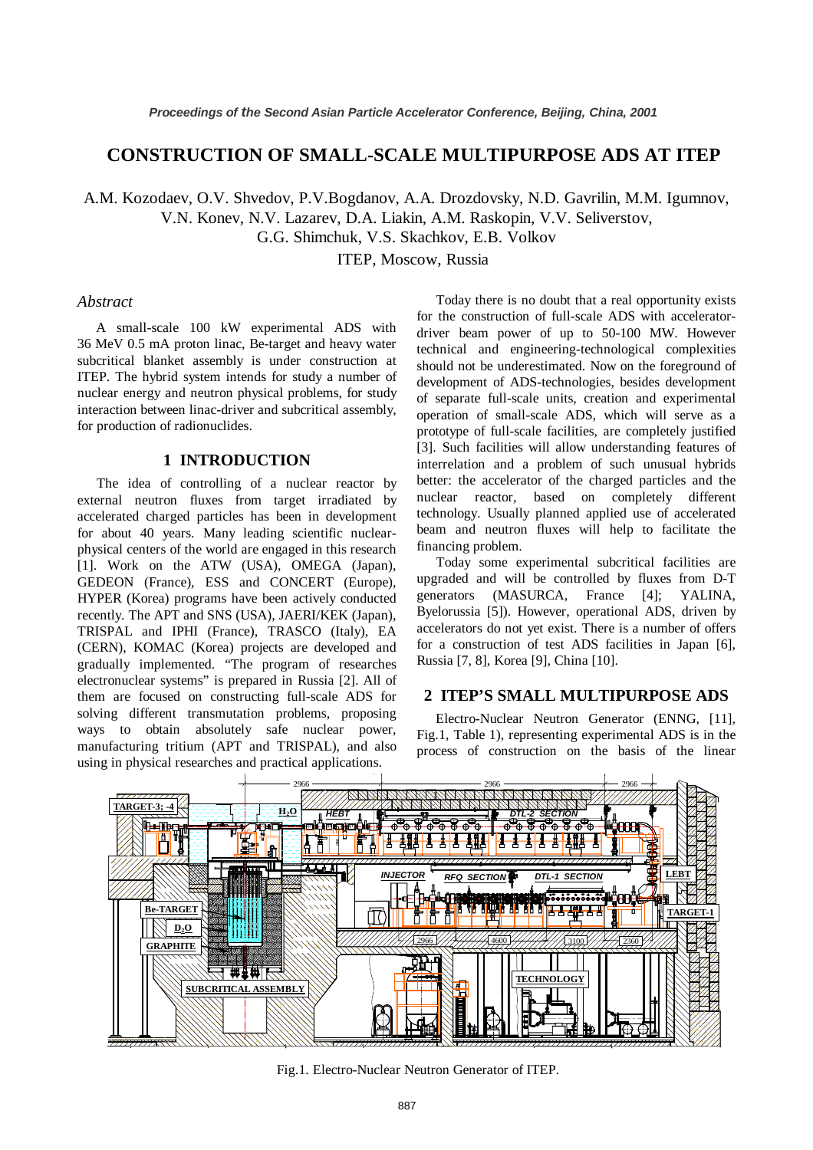# **CONSTRUCTION OF SMALL-SCALE MULTIPURPOSE ADS AT ITEP**

A.M. Kozodaev, O.V. Shvedov, P.V.Bogdanov, A.A. Drozdovsky, N.D. Gavrilin, M.M. Igumnov,

V.N. Konev, N.V. Lazarev, D.A. Liakin, A.M. Raskopin, V.V. Seliverstov,

G.G. Shimchuk, V.S. Skachkov, E.B. Volkov

ITEP, Moscow, Russia

#### *Abstract*

A small-scale 100 kW experimental ADS with 36 MeV 0.5 mA proton linac, Be-target and heavy water subcritical blanket assembly is under construction at ITEP. The hybrid system intends for study a number of nuclear energy and neutron physical problems, for study interaction between linac-driver and subcritical assembly, for production of radionuclides.

# **1 INTRODUCTION**

The idea of controlling of a nuclear reactor by external neutron fluxes from target irradiated by accelerated charged particles has been in development for about 40 years. Many leading scientific nuclearphysical centers of the world are engaged in this research [1]. Work on the ATW (USA), OMEGA (Japan), GEDEON (France), ESS and CONCERT (Europe), HYPER (Korea) programs have been actively conducted recently. The APT and SNS (USA), JAERI/KEK (Japan), TRISPAL and IPHI (France), TRASCO (Italy), EA (CERN), KOMAC (Korea) projects are developed and gradually implemented. "The program of researches electronuclear systems" is prepared in Russia [2]. All of them are focused on constructing full-scale ADS for solving different transmutation problems, proposing ways to obtain absolutely safe nuclear power, manufacturing tritium (APT and TRISPAL), and also using in physical researches and practical applications.

Today there is no doubt that a real opportunity exists for the construction of full-scale ADS with acceleratordriver beam power of up to 50-100 MW. However technical and engineering-technological complexities should not be underestimated. Now on the foreground of development of ADS-technologies, besides development of separate full-scale units, creation and experimental operation of small-scale ADS, which will serve as a prototype of full-scale facilities, are completely justified [3]. Such facilities will allow understanding features of interrelation and a problem of such unusual hybrids better: the accelerator of the charged particles and the nuclear reactor, based on completely different technology. Usually planned applied use of accelerated beam and neutron fluxes will help to facilitate the financing problem.

Today some experimental subcritical facilities are upgraded and will be controlled by fluxes from D-T generators (MASURCA, France [4]; YALINA, Byelorussia [5]). However, operational ADS, driven by accelerators do not yet exist. There is a number of offers for a construction of test ADS facilities in Japan [6], Russia [7, 8], Korea [9], China [10].

## **2 ITEP'S SMALL MULTIPURPOSE ADS**

Electro-Nuclear Neutron Generator (ENNG, [11], Fig.1, Table 1), representing experimental ADS is in the process of construction on the basis of the linear



Fig.1. Electro-Nuclear Neutron Generator of ITEP.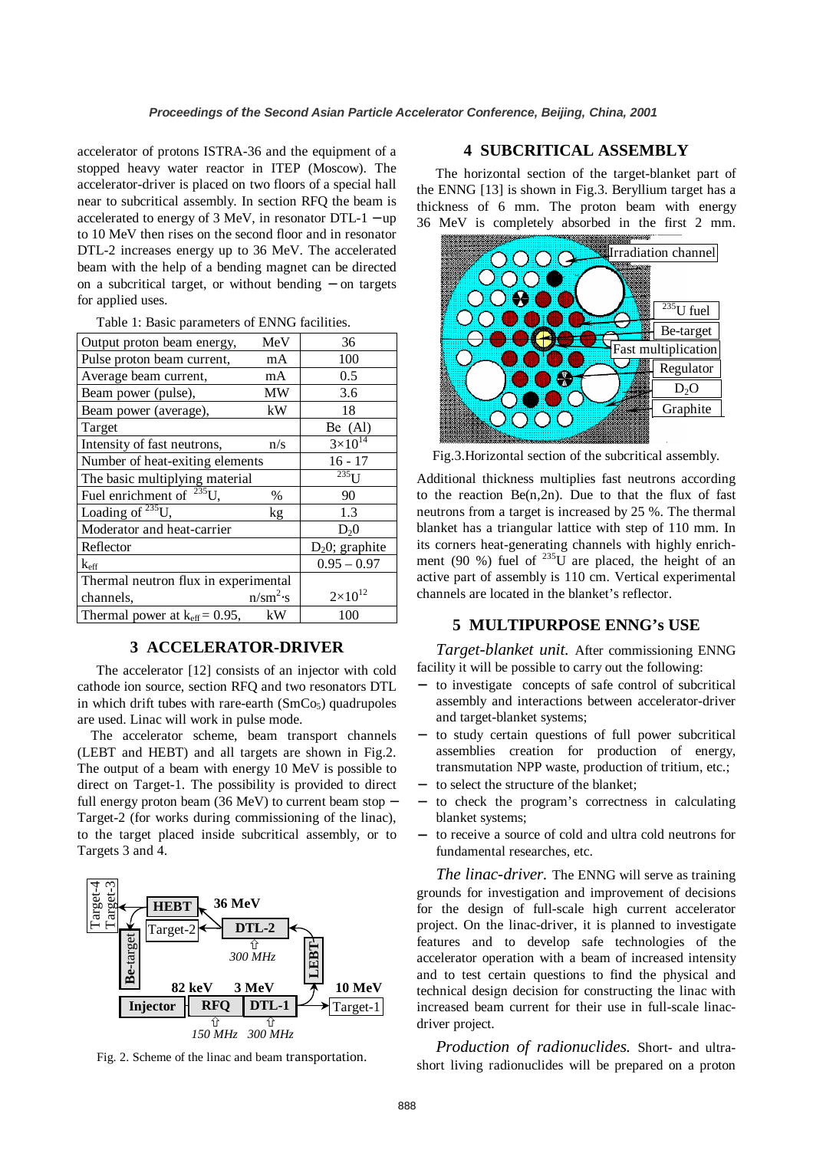accelerator of protons ISTRA-36 and the equipment of a stopped heavy water reactor in ITEP (Moscow). The accelerator-driver is placed on two floors of a special hall near to subcritical assembly. In section RFQ the beam is accelerated to energy of 3 MeV, in resonator DTL-1 − up to 10 MeV then rises on the second floor and in resonator DTL-2 increases energy up to 36 MeV. The accelerated beam with the help of a bending magnet can be directed on a subcritical target, or without bending − on targets for applied uses.

| Output proton beam energy,                | MeV         | 36                 |
|-------------------------------------------|-------------|--------------------|
| Pulse proton beam current,                | mA          | 100                |
| Average beam current,                     | mA          | 0.5                |
| Beam power (pulse),                       | MW          | 3.6                |
| Beam power (average),                     | kW          | 18                 |
| Target                                    |             | Be $(Al)$          |
| Intensity of fast neutrons,               | n/s         | $3\times10^{14}$   |
| Number of heat-exiting elements           |             | $16 - 17$          |
| The basic multiplying material            |             | $235$ <sup>I</sup> |
| Fuel enrichment of $^{235}$ U,            | $\%$        | 90                 |
| Loading of $^{235}U$ ,                    | kg          | 1.3                |
| Moderator and heat-carrier                |             | D <sub>2</sub> 0   |
| Reflector                                 |             | $D_2$ 0; graphite  |
| $k_{\rm eff}$                             |             | $0.95 - 0.97$      |
| Thermal neutron flux in experimental      |             |                    |
| channels,                                 | $n/sm^2$ ·s | $2 \times 10^{12}$ |
| Thermal power at $k_{\text{eff}}$ = 0.95, | kW          | 100                |

#### Table 1: Basic parameters of ENNG facilities.

#### **3 ACCELERATOR-DRIVER**

The accelerator [12] consists of an injector with cold cathode ion source, section RFQ and two resonators DTL in which drift tubes with rare-earth  $(SmCo<sub>5</sub>)$  quadrupoles are used. Linac will work in pulse mode.

The accelerator scheme, beam transport channels (LEBT and HEBT) and all targets are shown in Fig.2. The output of a beam with energy 10 MeV is possible to direct on Target-1. The possibility is provided to direct full energy proton beam (36 MeV) to current beam stop − Target-2 (for works during commissioning of the linac), to the target placed inside subcritical assembly, or to Targets 3 and 4.



Fig. 2. Scheme of the linac and beam transportation.

### **4 SUBCRITICAL ASSEMBLY**

The horizontal section of the target-blanket part of the ENNG [13] is shown in Fig.3. Beryllium target has a thickness of 6 mm. The proton beam with energy 36 MeV is completely absorbed in the first 2 mm.



Fig.3.Horizontal section of the subcritical assembly.

Additional thickness multiplies fast neutrons according to the reaction  $Be(n,2n)$ . Due to that the flux of fast neutrons from a target is increased by 25 %. The thermal blanket has a triangular lattice with step of 110 mm. In its corners heat-generating channels with highly enrichment (90 %) fuel of  $^{235}$ U are placed, the height of an active part of assembly is 110 cm. Vertical experimental channels are located in the blanket's reflector.

### **5 MULTIPURPOSE ENNG's USE**

*Target-blanket unit.* After commissioning ENNG facility it will be possible to carry out the following:

- − to investigate concepts of safe control of subcritical assembly and interactions between accelerator-driver and target-blanket systems;
- − to study certain questions of full power subcritical assemblies creation for production of energy, transmutation NPP waste, production of tritium, etc.;
- − to select the structure of the blanket;
- to check the program's correctness in calculating blanket systems;
- − to receive a source of cold and ultra cold neutrons for fundamental researches, etc.

*The linac-driver.* The ENNG will serve as training grounds for investigation and improvement of decisions for the design of full-scale high current accelerator project. On the linac-driver, it is planned to investigate features and to develop safe technologies of the accelerator operation with a beam of increased intensity and to test certain questions to find the physical and technical design decision for constructing the linac with increased beam current for their use in full-scale linacdriver project.

*Production of radionuclides.* Short- and ultrashort living radionuclides will be prepared on a proton